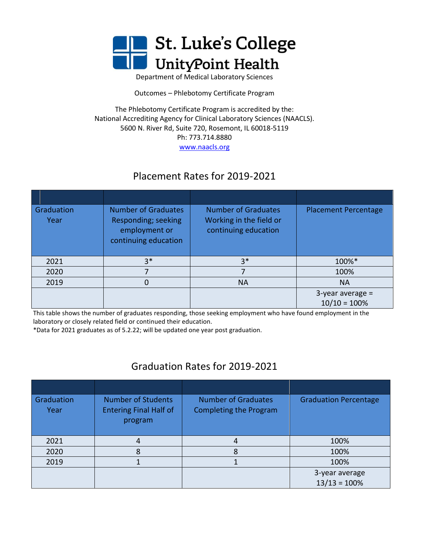

Department of Medical Laboratory Sciences

Outcomes – Phlebotomy Certificate Program

The Phlebotomy Certificate Program is accredited by the: National Accrediting Agency for Clinical Laboratory Sciences (NAACLS). 5600 N. River Rd, Suite 720, Rosemont, IL 60018-5119 Ph: 773.714.8880

[www.naacls.org](http://www.naacls.org/)

## Placement Rates for 2019-2021

| Graduation<br>Year | <b>Number of Graduates</b><br>Responding; seeking<br>employment or<br>continuing education | <b>Number of Graduates</b><br>Working in the field or<br>continuing education | <b>Placement Percentage</b>           |
|--------------------|--------------------------------------------------------------------------------------------|-------------------------------------------------------------------------------|---------------------------------------|
| 2021               | $3*$                                                                                       | $3*$                                                                          | 100%*                                 |
| 2020               |                                                                                            |                                                                               | 100%                                  |
| 2019               |                                                                                            | <b>NA</b>                                                                     | <b>NA</b>                             |
|                    |                                                                                            |                                                                               | $3$ -year average =<br>$10/10 = 100%$ |

 This table shows the number of graduates responding, those seeking employment who have found employment in the laboratory or closely related field or continued their education.

\*Data for 2021 graduates as of 5.2.22; will be updated one year post graduation.

## Graduation Rates for 2019-2021

| Graduation<br>Year | <b>Number of Students</b><br><b>Entering Final Half of</b><br>program | <b>Number of Graduates</b><br><b>Completing the Program</b> | <b>Graduation Percentage</b> |
|--------------------|-----------------------------------------------------------------------|-------------------------------------------------------------|------------------------------|
| 2021               | 4                                                                     | 4                                                           | 100%                         |
| 2020               |                                                                       | 8                                                           | 100%                         |
| 2019               |                                                                       |                                                             | 100%                         |
|                    |                                                                       |                                                             | 3-year average               |
|                    |                                                                       |                                                             | $13/13 = 100%$               |